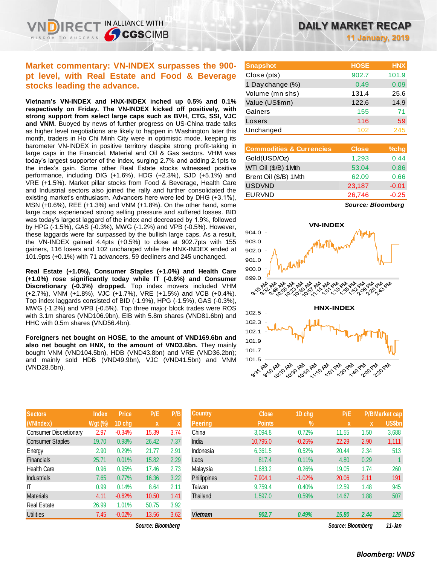# **Market commentary: VN-INDEX surpasses the 900 pt level, with Real Estate and Food & Beverage stocks leading the advance.**

IN ALLIANCE WITH

**CGSCIMB** 

**Vietnam's VN-INDEX and HNX-INDEX inched up 0.5% and 0.1% respectively on Friday. The VN-INDEX kicked off positively, with strong support from select large caps such as BVH, CTG, SSI, VJC and VNM.** Buoyed by news of further progress on US-China trade talks as higher level negotiations are likely to happen in Washington later this month, traders in Ho Chi Minh City were in optimistic mode, keeping its barometer VN-INDEX in positive territory despite strong profit-taking in large caps in the Financial, Material and Oil & Gas sectors. VHM was today's largest supporter of the index, surging 2.7% and adding 2.1pts to the index's gain. Some other Real Estate stocks witnessed positive performance, including DIG (+1.6%), HDG (+2.3%), SJD (+5.1%) and VRE (+1.5%). Market pillar stocks from Food & Beverage, Health Care and Industrial sectors also joined the rally and further consolidated the existing market's enthusiasm. Advancers here were led by DHG (+3.1%), MSN (+0.6%), REE (+1.3%) and VNM (+1.8%). On the other hand, some large caps experienced strong selling pressure and suffered losses. BID was today's largest laggard of the index and decreased by 1.9%, followed by HPG (-1.5%), GAS (-0.3%), MWG (-1.2%) and VPB (-0.5%). However, these laggards were far surpassed by the bullish large caps. As a result, the VN-INDEX gained 4.4pts (+0.5%) to close at 902.7pts with 155 gainers, 116 losers and 102 unchanged while the HNX-INDEX ended at 101.9pts (+0.1%) with 71 advancers, 59 decliners and 245 unchanged.

**Real Estate (+1.0%), Consumer Staples (+1.0%) and Health Care (+1.0%) rose significantly today while IT (-0.6%) and Consumer Discretionary (-0.3%) dropped.** Top index movers included VHM (+2.7%), VNM (+1.8%), VJC (+1.7%), VRE (+1.5%) and VCB (+0.4%). Top index laggards consisted of BID (-1.9%), HPG (-1.5%), GAS (-0.3%), MWG (-1.2%) and VPB (-0.5%). Top three major block trades were ROS with 3.1m shares (VND106.9bn), EIB with 5.8m shares (VND81.6bn) and HHC with 0.5m shares (VND56.4bn).

**Foreigners net bought on HOSE, to the amount of VND169.6bn and also net bought on HNX, to the amount of VND3.6bn.** They mainly bought VNM (VND104.5bn), HDB (VND43.8bn) and VRE (VND36.2bn); and mainly sold HDB (VND49.9bn), VJC (VND41.5bn) and VNM (VND28.5bn).

| <b>Sectors</b>                | <b>Index</b>   | <b>Price</b> | P/E   | P/B  |
|-------------------------------|----------------|--------------|-------|------|
| (VNIndex)                     | <b>Wgt (%)</b> | 1D chg       | X     | X    |
| <b>Consumer Discretionary</b> | 2.97           | $-0.34%$     | 15.39 | 3.74 |
| <b>Consumer Staples</b>       | 19.70          | 0.98%        | 26.42 | 7.37 |
| Energy                        | 2.90           | 0.29%        | 21.77 | 2.91 |
| <b>Financials</b>             | 25.71          | 0.01%        | 15.82 | 2.29 |
| <b>Health Care</b>            | 0.96           | 0.95%        | 17.46 | 2.73 |
| <b>Industrials</b>            | 7.65           | 0.77%        | 16.36 | 3.22 |
| ıτ                            | 0.99           | 0.14%        | 8.64  | 2.11 |
| <b>Materials</b>              | 4.11           | $-0.62%$     | 10.50 | 1.41 |
| <b>Real Estate</b>            | 26.99          | 1.01%        | 50.75 | 3.92 |
| <b>Utilities</b>              | 7.45           | $-0.02%$     | 13.56 | 3.62 |

**11 January, 2019**

| <b>Snapshot</b>  | <b>HOSE</b> | <b>HNX</b> |
|------------------|-------------|------------|
| Close (pts)      | 902.7       | 101.9      |
| 1 Day change (%) | 0.49        | 0.09       |
| Volume (mn shs)  | 131.4       | 25.6       |
| Value (US\$mn)   | 122.6       | 14.9       |
| Gainers          | 155         | 71         |
| Losers           | 116         | 59         |
| Unchanged        | 102         | 245        |

| <b>Close</b> | $%$ chg |
|--------------|---------|
| 1,293        | 0.44    |
| 53.04        | 0.86    |
| 62.09        | 0.66    |
| 23,187       | $-0.01$ |
| 26,746       | $-0.25$ |
|              |         |

*Source: Bloomberg*



| <b>Sectors</b>                | <b>Index</b> | <b>Price</b> | P/E               | P/B  | <b>Country</b> | <b>Close</b>  | 1D chg        | P/E               |             | <b>P/B Market cap</b> |
|-------------------------------|--------------|--------------|-------------------|------|----------------|---------------|---------------|-------------------|-------------|-----------------------|
| (VNIndex)                     | $Wgt$ (%)    | 1D chg       | $\mathbf{x}$      |      | Peering        | <b>Points</b> | $\frac{9}{6}$ | $\mathbf{x}$      | $\mathbf x$ | <b>US\$bn</b>         |
| <b>Consumer Discretionary</b> | 2.97         | $-0.34%$     | 15.39             | 3.74 | China          | 3,094.8       | 0.72%         | 11.55             | 1.50        | 3,688                 |
| Consumer Staples              | 19.70        | 0.98%        | 26.42             | 7.37 | India          | 10,795.0      | $-0.25%$      | 22.29             | 2.90        | 1,111                 |
| Energy                        | 2.90         | 0.29%        | 21.77             | 2.91 | Indonesia      | 6,361.5       | 0.52%         | 20.44             | 2.34        | 513                   |
| Financials                    | 25.71        | 0.01%        | 15.82             | 2.29 | Laos           | 817.4         | 0.11%         | 4.80              | 0.29        |                       |
| Health Care                   | 0.96         | 0.95%        | 17.46             | 2.73 | Malaysia       | 1,683.2       | 0.26%         | 19.05             | 1.74        | 260                   |
| <b>Industrials</b>            | 7.65         | 0.77%        | 16.36             | 3.22 | Philippines    | 7.904.1       | $-1.02%$      | 20.06             | 2.11        | 191                   |
| Τ                             | 0.99         | 0.14%        | 8.64              | 2.11 | Taiwan         | 9,759.4       | 0.40%         | 12.59             | 1.48        | 945                   |
| Materials                     | 4.11         | $-0.62%$     | 10.50             | 1.41 | Thailand       | 1,597.0       | 0.59%         | 14.67             | 1.88        | 507                   |
| Real Estate                   | 26.99        | 1.01%        | 50.75             | 3.92 |                |               |               |                   |             |                       |
| Utilities                     | 7.45         | $-0.02%$     | 13.56             | 3.62 | <b>Vietnam</b> | 902.7         | 0.49%         | 15,80             | 2.44        | 125                   |
|                               |              |              | Source: Bloomberg |      |                |               |               | Source: Bloomberg |             | 11-Jan                |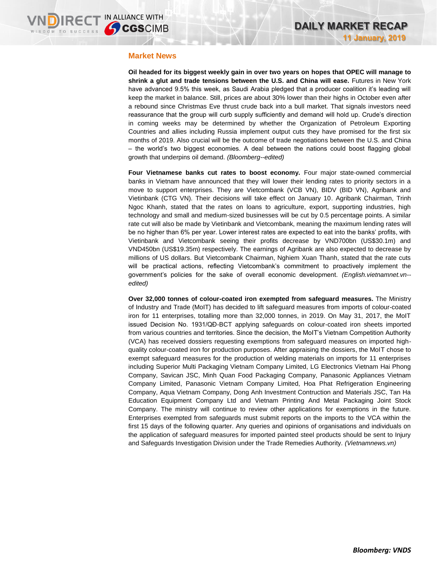### **Market News**

**Oil headed for its biggest weekly gain in over two years on hopes that OPEC will manage to shrink a glut and trade tensions between the U.S. and China will ease.** Futures in New York have advanced 9.5% this week, as Saudi Arabia pledged that a producer coalition it's leading will keep the market in balance. Still, prices are about 30% lower than their highs in October even after a rebound since Christmas Eve thrust crude back into a bull market. That signals investors need reassurance that the group will curb supply sufficiently and demand will hold up. Crude's direction in coming weeks may be determined by whether the Organization of Petroleum Exporting Countries and allies including Russia implement output cuts they have promised for the first six months of 2019. Also crucial will be the outcome of trade negotiations between the U.S. and China – the world's two biggest economies. A deal between the nations could boost flagging global growth that underpins oil demand. *(Bloomberg--edited)*

**Four Vietnamese banks cut rates to boost economy.** Four major state-owned commercial banks in Vietnam have announced that they will lower their lending rates to priority sectors in a move to support enterprises. They are Vietcombank (VCB VN), BIDV (BID VN), Agribank and Vietinbank (CTG VN). Their decisions will take effect on January 10. Agribank Chairman, Trinh Ngoc Khanh, stated that the rates on loans to agriculture, export, supporting industries, high technology and small and medium-sized businesses will be cut by 0.5 percentage points. A similar rate cut will also be made by Vietinbank and Vietcombank, meaning the maximum lending rates will be no higher than 6% per year. Lower interest rates are expected to eat into the banks' profits, with Vietinbank and Vietcombank seeing their profits decrease by VND700bn (US\$30.1m) and VND450bn (US\$19.35m) respectively. The earnings of Agribank are also expected to decrease by millions of US dollars. But Vietcombank Chairman, Nghiem Xuan Thanh, stated that the rate cuts will be practical actions, reflecting Vietcombank's commitment to proactively implement the government's policies for the sake of overall economic development. *(English.vietnamnet.vn- edited)*

**Over 32,000 tonnes of colour-coated iron exempted from safeguard measures.** The Ministry of Industry and Trade (MoIT) has decided to lift safeguard measures from imports of colour-coated iron for 11 enterprises, totalling more than 32,000 tonnes, in 2019. On May 31, 2017, the MoIT issued Decision No. 1931/QĐ-BCT applying safeguards on colour-coated iron sheets imported from various countries and territories. Since the decision, the MoIT's Vietnam Competition Authority (VCA) has received dossiers requesting exemptions from safeguard measures on imported highquality colour-coated iron for production purposes. After appraising the dossiers, the MoIT chose to exempt safeguard measures for the production of welding materials on imports for 11 enterprises including Superior Multi Packaging Vietnam Company Limited, LG Electronics Vietnam Hai Phong Company, Savican JSC, Minh Quan Food Packaging Company, Panasonic Appliances Vietnam Company Limited, Panasonic Vietnam Company Limited, Hoa Phat Refrigeration Engineering Company, Aqua Vietnam Company, Dong Anh Investment Contruction and Materials JSC, Tan Ha Education Equipment Company Ltd and Vietnam Printing And Metal Packaging Joint Stock Company. The ministry will continue to review other applications for exemptions in the future. Enterprises exempted from safeguards must submit reports on the imports to the VCA within the first 15 days of the following quarter. Any queries and opinions of organisations and individuals on the application of safeguard measures for imported painted steel products should be sent to Injury and Safeguards Investigation Division under the Trade Remedies Authority. *(Vietnamnews.vn)*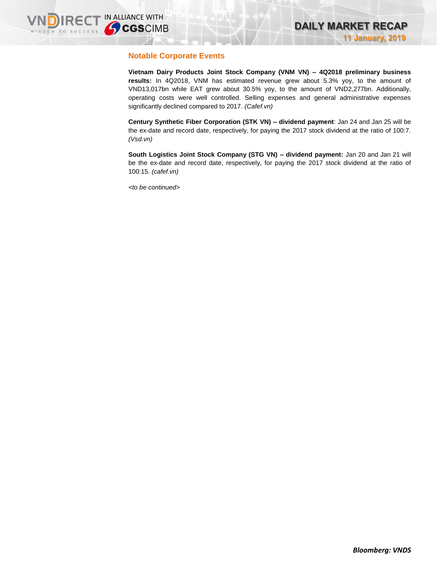## **Notable Corporate Events**

**Vietnam Dairy Products Joint Stock Company (VNM VN) – 4Q2018 preliminary business results:** In 4Q2018, VNM has estimated revenue grew about 5.3% yoy, to the amount of VND13,017bn while EAT grew about 30.5% yoy, to the amount of VND2,277bn. Additionally, operating costs were well controlled. Selling expenses and general administrative expenses significantly declined compared to 2017. *(Cafef.vn)*

**Century Synthetic Fiber Corporation (STK VN) – dividend payment**: Jan 24 and Jan 25 will be the ex-date and record date, respectively, for paying the 2017 stock dividend at the ratio of 100:7. *(Vsd.vn)*

**South Logistics Joint Stock Company (STG VN) – dividend payment:** Jan 20 and Jan 21 will be the ex-date and record date, respectively, for paying the 2017 stock dividend at the ratio of 100:15. *(cafef.vn)*

*<to be continued>*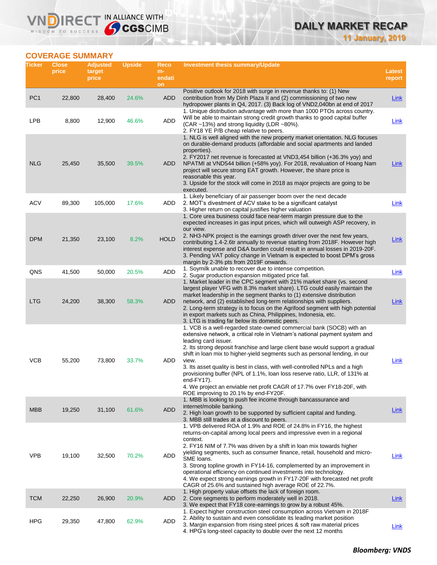# **DAILY MARKET RECAP**

**11 January, 2019**

# **COVERAGE SUMMARY**

WISDOM TO SUCCESS

**VNDIRECT IN ALLIANCE WITH** 

| Ticker          | <b>Close</b><br>price | <b>Adjusted</b><br>target<br>price | <b>Upside</b> | Reco<br>m-<br>endati<br>on | <b>Investment thesis summary/Update</b>                                                                                                                                                                                                                                                                                                                                                                                                                                                                                                                                                                                                           | Latest<br>report |
|-----------------|-----------------------|------------------------------------|---------------|----------------------------|---------------------------------------------------------------------------------------------------------------------------------------------------------------------------------------------------------------------------------------------------------------------------------------------------------------------------------------------------------------------------------------------------------------------------------------------------------------------------------------------------------------------------------------------------------------------------------------------------------------------------------------------------|------------------|
| PC <sub>1</sub> | 22,800                | 28,400                             | 24.6%         | <b>ADD</b>                 | Positive outlook for 2018 with surge in revenue thanks to: (1) New<br>contribution from My Dinh Plaza II and (2) commissioning of two new<br>hydropower plants in Q4, 2017. (3) Back log of VND2,040bn at end of 2017                                                                                                                                                                                                                                                                                                                                                                                                                             | Link             |
| <b>LPB</b>      | 8,800                 | 12,900                             | 46.6%         | ADD                        | 1. Unique distribution advantage with more than 1000 PTOs across country.<br>Will be able to maintain strong credit growth thanks to good capital buffer<br>(CAR ~13%) and strong liquidity (LDR ~80%).<br>2. FY18 YE P/B cheap relative to peers.                                                                                                                                                                                                                                                                                                                                                                                                | Link             |
| <b>NLG</b>      | 25,450                | 35,500                             | 39.5%         | ADD                        | 1. NLG is well aligned with the new property market orientation. NLG focuses<br>on durable-demand products (affordable and social apartments and landed<br>properties).<br>2. FY2017 net revenue is forecasted at VND3,454 billion (+36.3% yoy) and<br>NPATMI at VND544 billion (+58% yoy). For 2018, revaluation of Hoang Nam<br>project will secure strong EAT growth. However, the share price is<br>reasonable this year.<br>3. Upside for the stock will come in 2018 as major projects are going to be<br>executed.                                                                                                                         | Link             |
| <b>ACV</b>      | 89,300                | 105,000                            | 17.6%         | ADD                        | 1. Likely beneficiary of air passenger boom over the next decade<br>2. MOT's divestment of ACV stake to be a significant catalyst<br>3. Higher return on capital justifies higher valuation                                                                                                                                                                                                                                                                                                                                                                                                                                                       | Link             |
| <b>DPM</b>      | 21,350                | 23,100                             | 8.2%          | <b>HOLD</b>                | 1. Core urea business could face near-term margin pressure due to the<br>expected increases in gas input prices, which will outweigh ASP recovery, in<br>our view.<br>2. NH3-NPK project is the earnings growth driver over the next few years,<br>contributing 1.4-2.6tr annually to revenue starting from 2018F. However high<br>interest expense and D&A burden could result in annual losses in 2019-20F.<br>3. Pending VAT policy change in Vietnam is expected to boost DPM's gross<br>margin by 2-3% pts from 2019F onwards.                                                                                                               | <b>Link</b>      |
| QNS             | 41,500                | 50,000                             | 20.5%         | ADD                        | 1. Soymilk unable to recover due to intense competition.<br>2. Sugar production expansion mitigated price fall.                                                                                                                                                                                                                                                                                                                                                                                                                                                                                                                                   | Link             |
| <b>LTG</b>      | 24,200                | 38,300                             | 58.3%         | ADD                        | 1. Market leader in the CPC segment with 21% market share (vs. second<br>largest player VFG with 8.3% market share). LTG could easily maintain the<br>market leadership in the segment thanks to (1) extensive distribution<br>network, and (2) established long-term relationships with suppliers.<br>2. Long-term strategy is to focus on the Agrifood segment with high potential<br>in export markets such as China, Philippines, Indonesia, etc.<br>3. LTG is trading far below its domestic peers.                                                                                                                                          | Link             |
| <b>VCB</b>      | 55,200                | 73,800                             | 33.7%         | ADD                        | 1. VCB is a well-regarded state-owned commercial bank (SOCB) with an<br>extensive network, a critical role in Vietnam's national payment system and<br>leading card issuer.<br>2. Its strong deposit franchise and large client base would support a gradual<br>shift in loan mix to higher-yield segments such as personal lending, in our<br>view.<br>3. Its asset quality is best in class, with well-controlled NPLs and a high<br>provisioning buffer (NPL of 1.1%, loan loss reserve ratio, LLR, of 131% at<br>end-FY17).<br>4. We project an enviable net profit CAGR of 17.7% over FY18-20F, with<br>ROE improving to 20.1% by end-FY20F. | Link             |
| <b>MBB</b>      | 19,250                | 31,100                             | 61.6%         | <b>ADD</b>                 | 1. MBB is looking to push fee income through bancassurance and<br>internet/mobile banking.<br>2. High loan growth to be supported by sufficient capital and funding.<br>3. MBB still trades at a discount to peers.                                                                                                                                                                                                                                                                                                                                                                                                                               | Link             |
| <b>VPB</b>      | 19,100                | 32,500                             | 70.2%         | ADD                        | 1. VPB delivered ROA of 1.9% and ROE of 24.8% in FY16, the highest<br>returns-on-capital among local peers and impressive even in a regional<br>context.<br>2. FY16 NIM of 7.7% was driven by a shift in loan mix towards higher<br>yielding segments, such as consumer finance, retail, household and micro-<br>SME loans.<br>3. Strong topline growth in FY14-16, complemented by an improvement in<br>operational efficiency on continued investments into technology.<br>4. We expect strong earnings growth in FY17-20F with forecasted net profit<br>CAGR of 25.6% and sustained high average ROE of 22.7%.                                 | Link             |
| <b>TCM</b>      | 22,250                | 26,900                             | 20.9%         | ADD                        | 1. High property value offsets the lack of foreign room.<br>2. Core segments to perform moderately well in 2018.<br>3. We expect that FY18 core-earnings to grow by a robust 45%.                                                                                                                                                                                                                                                                                                                                                                                                                                                                 | <b>Link</b>      |
| <b>HPG</b>      | 29,350                | 47,800                             | 62.9%         | ADD                        | 1. Expect higher construction steel consumption across Vietnam in 2018F<br>2. Ability to sustain and even consolidate its leading market position<br>3. Margin expansion from rising steel prices & soft raw material prices<br>4. HPG's long-steel capacity to double over the next 12 months                                                                                                                                                                                                                                                                                                                                                    | <b>Link</b>      |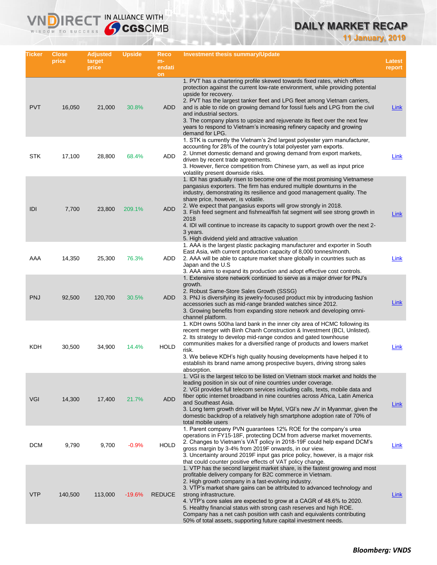# **DAILY MARKET RECAP**

**11 January, 2019**

| Ticker     | <b>Close</b><br>price | <b>Adjusted</b><br>target<br>price | <b>Upside</b> | Reco<br>$m-$<br>endati | <b>Investment thesis summary/Update</b>                                                                                                                                                                                                                                                                                                                                                                                                                                                                                                                                                           | Latest<br>report |
|------------|-----------------------|------------------------------------|---------------|------------------------|---------------------------------------------------------------------------------------------------------------------------------------------------------------------------------------------------------------------------------------------------------------------------------------------------------------------------------------------------------------------------------------------------------------------------------------------------------------------------------------------------------------------------------------------------------------------------------------------------|------------------|
| <b>PVT</b> | 16,050                | 21,000                             | 30.8%         | on<br>ADD              | 1. PVT has a chartering profile skewed towards fixed rates, which offers<br>protection against the current low-rate environment, while providing potential<br>upside for recovery.<br>2. PVT has the largest tanker fleet and LPG fleet among Vietnam carriers,<br>and is able to ride on growing demand for fossil fuels and LPG from the civil<br>and industrial sectors.<br>3. The company plans to upsize and rejuvenate its fleet over the next few<br>years to respond to Vietnam's increasing refinery capacity and growing<br>demand for LPG.                                             | Link             |
| <b>STK</b> | 17,100                | 28,800                             | 68.4%         | ADD                    | 1. STK is currently the Vietnam's 2nd largest polyester yarn manufacturer,<br>accounting for 28% of the country's total polyester yarn exports.<br>2. Unmet domestic demand and growing demand from export markets,<br>driven by recent trade agreements.<br>3. However, fierce competition from Chinese yarn, as well as input price<br>volatility present downside risks.                                                                                                                                                                                                                       | Link             |
| IDI        | 7,700                 | 23,800                             | 209.1%        | <b>ADD</b>             | 1. IDI has gradually risen to become one of the most promising Vietnamese<br>pangasius exporters. The firm has endured multiple downturns in the<br>industry, demonstrating its resilience and good management quality. The<br>share price, however, is volatile.<br>2. We expect that pangasius exports will grow strongly in 2018.<br>3. Fish feed segment and fishmeal/fish fat segment will see strong growth in<br>2018<br>4. IDI will continue to increase its capacity to support growth over the next 2-<br>3 years.<br>5. High dividend yield and attractive valuation                   | Link             |
| AAA        | 14,350                | 25,300                             | 76.3%         | ADD                    | 1. AAA is the largest plastic packaging manufacturer and exporter in South<br>East Asia, with current production capacity of 8,000 tonnes/month.<br>2. AAA will be able to capture market share globally in countries such as<br>Japan and the U.S.<br>3. AAA aims to expand its production and adopt effective cost controls.                                                                                                                                                                                                                                                                    | Link             |
| <b>PNJ</b> | 92,500                | 120,700                            | 30.5%         | ADD                    | 1. Extensive store network continued to serve as a major driver for PNJ's<br>growth.<br>2. Robust Same-Store Sales Growth (SSSG)<br>3. PNJ is diversifying its jewelry-focused product mix by introducing fashion<br>accessories such as mid-range branded watches since 2012.<br>3. Growing benefits from expanding store network and developing omni-<br>channel platform.                                                                                                                                                                                                                      | Link             |
| KDH        | 30,500                | 34,900                             | 14.4%         | <b>HOLD</b>            | 1. KDH owns 500ha land bank in the inner city area of HCMC following its<br>recent merger with Binh Chanh Construction & Investment (BCI, Unlisted).<br>2. Its strategy to develop mid-range condos and gated townhouse<br>communities makes for a diversified range of products and lowers market<br>risk.<br>3. We believe KDH's high quality housing developments have helped it to<br>establish its brand name among prospective buyers, driving strong sales<br>absorption.                                                                                                                  | Link             |
| VGI        | 14,300                | 17,400                             | 21.7%         | <b>ADD</b>             | 1. VGI is the largest telco to be listed on Vietnam stock market and holds the<br>leading position in six out of nine countries under coverage.<br>2. VGI provides full telecom services including calls, texts, mobile data and<br>fiber optic internet broadband in nine countries across Africa, Latin America<br>and Southeast Asia.<br>3. Long term growth driver will be Mytel, VGI's new JV in Myanmar, given the<br>domestic backdrop of a relatively high smartphone adoption rate of 70% of<br>total mobile users                                                                       | <b>Link</b>      |
| <b>DCM</b> | 9,790                 | 9,700                              | $-0.9%$       | <b>HOLD</b>            | 1. Parent company PVN guarantees 12% ROE for the company's urea<br>operations in FY15-18F, protecting DCM from adverse market movements.<br>2. Changes to Vietnam's VAT policy in 2018-19F could help expand DCM's<br>gross margin by 3-4% from 2019F onwards, in our view.<br>3. Uncertainty around 2019F input gas price policy, however, is a major risk<br>that could counter positive effects of VAT policy change.                                                                                                                                                                          | Link             |
| <b>VTP</b> | 140,500               | 113,000                            | $-19.6%$      | <b>REDUCE</b>          | 1. VTP has the second largest market share, is the fastest growing and most<br>profitable delivery company for B2C commerce in Vietnam.<br>2. High growth company in a fast-evolving industry.<br>3. VTP's market share gains can be attributed to advanced technology and<br>strong infrastructure.<br>4. VTP's core sales are expected to grow at a CAGR of 48.6% to 2020.<br>5. Healthy financial status with strong cash reserves and high ROE.<br>Company has a net cash position with cash and equivalents contributing<br>50% of total assets, supporting future capital investment needs. | Link             |

IN ALLIANCE WITH

VND

R<sub>E</sub>

WISDOM TO SUCCESS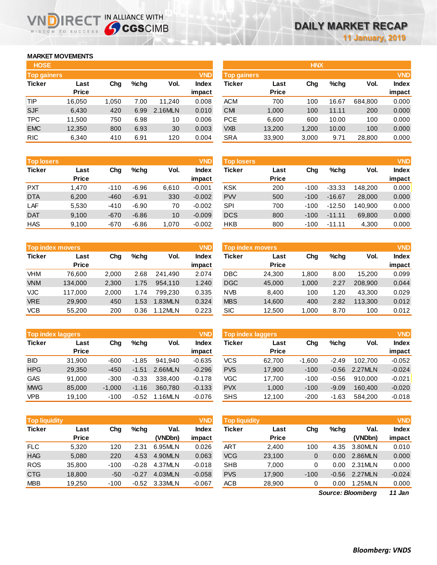## **MARKET MOVEMENTS**

WISDOM TO SUCCESS

הו

| <b>HOSE</b>        |              |       |         |         |              |
|--------------------|--------------|-------|---------|---------|--------------|
| <b>Top gainers</b> |              |       |         |         | <b>VND</b>   |
| <b>Ticker</b>      | Last         | Cha   | $%$ chq | Vol.    | <b>Index</b> |
|                    | <b>Price</b> |       |         |         | impact       |
| TIP                | 16,050       | 1,050 | 7.00    | 11,240  | 0.008        |
| <b>SJF</b>         | 6,430        | 420   | 6.99    | 2.16MLN | 0.010        |
| <b>TPC</b>         | 11,500       | 750   | 6.98    | 10      | 0.006        |
| <b>EMC</b>         | 12,350       | 800   | 6.93    | 30      | 0.003        |
| <b>RIC</b>         | 6.340        | 410   | 6.91    | 120     | 0.004        |

IRECT IN ALLIANCE WITH

| <b>Top losers</b> |              |        |         |       | <b>VND</b>   |
|-------------------|--------------|--------|---------|-------|--------------|
| <b>Ticker</b>     | Last         | Cha    | $%$ chq | Vol.  | <b>Index</b> |
|                   | <b>Price</b> |        |         |       | impact       |
| <b>PXT</b>        | 1.470        | $-110$ | $-6.96$ | 6,610 | $-0.001$     |
| <b>DTA</b>        | 6,200        | $-460$ | $-6.91$ | 330   | $-0.002$     |
| LAF               | 5,530        | $-410$ | $-6.90$ | 70    | $-0.002$     |
| <b>DAT</b>        | 9,100        | $-670$ | $-6.86$ | 10    | $-0.009$     |
| <b>HAS</b>        | 9,100        | $-670$ | $-6.86$ | 1,070 | $-0.002$     |

|               | <b>Top index movers</b> |       |      | <b>VND</b> |              |
|---------------|-------------------------|-------|------|------------|--------------|
| <b>Ticker</b> | Last                    | Cha   | %chq | Vol.       | <b>Index</b> |
|               | <b>Price</b>            |       |      |            | impact       |
| VHM           | 76,600                  | 2,000 | 2.68 | 241,490    | 2.074        |
| <b>VNM</b>    | 134,000                 | 2,300 | 1.75 | 954.110    | 1.240        |
| <b>VJC</b>    | 117,000                 | 2,000 | 1.74 | 799.230    | 0.335        |
| <b>VRE</b>    | 29,900                  | 450   | 1.53 | 1.83MLN    | 0.324        |
| <b>VCB</b>    | 55,200                  | 200   | 0.36 | 1.12MLN    | 0.223        |

|               | <b>Top index laggers</b> |          |         |         |              |  |  |  |  |
|---------------|--------------------------|----------|---------|---------|--------------|--|--|--|--|
| <b>Ticker</b> | Last                     | Cha      | %chq    | Vol.    | <b>Index</b> |  |  |  |  |
|               | <b>Price</b>             |          |         |         | impact       |  |  |  |  |
| <b>BID</b>    | 31,900                   | -600     | $-1.85$ | 941.940 | $-0.635$     |  |  |  |  |
| <b>HPG</b>    | 29,350                   | $-450$   | $-1.51$ | 2.66MLN | $-0.296$     |  |  |  |  |
| <b>GAS</b>    | 91.000                   | $-300$   | $-0.33$ | 338,400 | $-0.178$     |  |  |  |  |
| <b>MWG</b>    | 85,000                   | $-1,000$ | $-1.16$ | 360,780 | $-0.133$     |  |  |  |  |
| VPB           | 19,100                   | $-100$   | $-0.52$ | 1.16MLN | $-0.076$     |  |  |  |  |

| <b>Top liquidity</b> |              |        |         |         | <b>VND</b>   |
|----------------------|--------------|--------|---------|---------|--------------|
| <b>Ticker</b>        | Last         | Cha    | $%$ chq | Val.    | <b>Index</b> |
|                      | <b>Price</b> |        |         | (VNDbn) | impact       |
| <b>FLC</b>           | 5.320        | 120    | 2.31    | 6.95MLN | 0.026        |
| <b>HAG</b>           | 5.080        | 220    | 4.53    | 4.90MLN | 0.063        |
| <b>ROS</b>           | 35,800       | $-100$ | $-0.28$ | 4.37MLN | $-0.018$     |
| <b>CTG</b>           | 18,800       | $-50$  | $-0.27$ | 4.03MLN | $-0.058$     |
| <b>MBB</b>           | 19,250       | $-100$ | $-0.52$ | 3.33MLN | $-0.067$     |

| <b>Top gainers</b> |       |      |         | <b>VND</b>   |            |              |                    |         |            | <b>VND</b>   |
|--------------------|-------|------|---------|--------------|------------|--------------|--------------------|---------|------------|--------------|
| Last               | Chg   | %chq | Vol.    | <b>Index</b> | Ticker     | Last         | Chg                | $%$ chq | Vol.       | <b>Index</b> |
| <b>Price</b>       |       |      |         | impact       |            | <b>Price</b> |                    |         |            | impact       |
| 16,050             | 1,050 | 7.00 | 11.240  | 0.008        | <b>ACM</b> | 700          | 100                | 16.67   | 684.800    | 0.000        |
| 6,430              | 420   | 6.99 | 2.16MLN | 0.010        | <b>CMI</b> | 1,000        | 100                | 11.11   | 200        | 0.000        |
| 11,500             | 750   | 6.98 | 10      | 0.006        | <b>PCE</b> | 6,600        | 600                | 10.00   | 100        | 0.000        |
| 12,350             | 800   | 6.93 | 30      | 0.003        | <b>VXB</b> | 13,200       | 1,200              | 10.00   | 100        | 0.000        |
| 6,340              | 410   | 6.91 | 120     | 0.004        | <b>SRA</b> | 33,900       | 3,000              | 9.71    | 28,800     | 0.000        |
|                    |       |      |         |              |            |              | <b>Top gainers</b> |         | <b>HNX</b> |              |

| <b>Top losers</b> |                      |        |         |       | <b>VND</b>      | Top losers |                      |        |          |         | <b>VND</b>      |
|-------------------|----------------------|--------|---------|-------|-----------------|------------|----------------------|--------|----------|---------|-----------------|
| Ticker            | Last<br><b>Price</b> | Chg    | $%$ chq | Vol.  | Index<br>impact | Ticker     | Last<br><b>Price</b> | Chg    | $%$ chq  | Vol.    | Index<br>impact |
| <b>PXT</b>        | 1.470                | $-110$ | $-6.96$ | 6.610 | $-0.001$        | <b>KSK</b> | 200                  | $-100$ | $-33.33$ | 148.200 | 0.000           |
| <b>DTA</b>        | 6,200                | $-460$ | $-6.91$ | 330   | $-0.002$        | <b>PW</b>  | 500                  | $-100$ | $-16.67$ | 28,000  | 0.000           |
| LAF               | 5,530                | $-410$ | $-6.90$ | 70    | $-0.002$        | SPI        | 700                  | $-100$ | $-12.50$ | 140.900 | 0.000           |
| <b>DAT</b>        | 9.100                | $-670$ | $-6.86$ | 10    | $-0.009$        | <b>DCS</b> | 800                  | $-100$ | $-11.11$ | 69,800  | 0.000           |
| <b>HAS</b>        | 9,100                | $-670$ | $-6.86$ | ,070  | $-0.002$        | HKB        | 800                  | $-100$ | $-11.11$ | 4,300   | 0.000           |

|            | Top index movers<br>$%$ chq<br>Last |       |      |         |              | Top index movers |              |       |         |         | <b>VND</b>   |
|------------|-------------------------------------|-------|------|---------|--------------|------------------|--------------|-------|---------|---------|--------------|
| Ticker     |                                     | Chg   |      | Vol.    | <b>Index</b> | Ticker           | Last         | Chg   | $%$ chq | Vol.    | <b>Index</b> |
|            | <b>Price</b>                        |       |      |         | impact       |                  | <b>Price</b> |       |         |         | impact       |
| VHM        | 76.600                              | 2.000 | 2.68 | 241.490 | 2.074        | DBC              | 24.300       | 1,800 | 8.00    | 15.200  | 0.099        |
| <b>VNM</b> | 134.000                             | 2,300 | 1.75 | 954.110 | 1.240        | <b>DGC</b>       | 45,000       | 1,000 | 2.27    | 208.900 | 0.044        |
| VJC.       | 117.000                             | 2.000 | 1.74 | 799.230 | 0.335        | <b>NVB</b>       | 8.400        | 100   | 1.20    | 43.300  | 0.029        |
| <b>VRE</b> | 29,900                              | 450   | 1.53 | 1.83MLN | 0.324        | <b>MBS</b>       | 14,600       | 400   | 2.82    | 113.300 | 0.012        |
| <b>VCB</b> | 55,200                              | 200   | 0.36 | 1.12MLN | 0.223        | <b>SIC</b>       | 12,500       | ,000  | 8.70    | 100     | 0.012        |

| <b>Top index laggers</b> |              |          |         |         | <b>VND</b>   | <b>Top index laggers</b> |              |          |         |         | <b>VND</b>   |
|--------------------------|--------------|----------|---------|---------|--------------|--------------------------|--------------|----------|---------|---------|--------------|
| Ticker                   | Last         | Chg      | $%$ chq | Vol.    | <b>Index</b> | Ticker                   | Last         | Chg      | $%$ chq | Vol.    | <b>Index</b> |
|                          | <b>Price</b> |          |         |         | impact       |                          | <b>Price</b> |          |         |         | impact       |
| BID.                     | 31.900       | $-600$   | $-1.85$ | 941.940 | $-0.635$     | <b>VCS</b>               | 62.700       | $-1.600$ | $-2.49$ | 102.700 | $-0.052$     |
| <b>HPG</b>               | 29.350       | $-450$   | $-1.51$ | 2.66MLN | $-0.296$     | <b>PVS</b>               | 17.900       | $-100$   | $-0.56$ | 2.27MLN | $-0.024$     |
| GAS                      | 91.000       | $-300$   | $-0.33$ | 338,400 | $-0.178$     | VGC                      | 17.700       | $-100$   | $-0.56$ | 910.000 | $-0.021$     |
| <b>MWG</b>               | 85,000       | $-1.000$ | $-1.16$ | 360.780 | $-0.133$     | <b>PVX</b>               | 1,000        | $-100$   | $-9.09$ | 160.400 | $-0.020$     |
| <b>VPB</b>               | 19.100       | $-100$   | $-0.52$ | 1.16MLN | $-0.076$     | <b>SHS</b>               | 12.100       | $-200$   | $-1.63$ | 584.200 | $-0.018$     |

| <b>Top liquidity</b> |              |        |         |         | <b>VND</b>   | <b>Top liquidity</b> |              |        |         |         | <b>VND</b>   |
|----------------------|--------------|--------|---------|---------|--------------|----------------------|--------------|--------|---------|---------|--------------|
| Ticker               | Last         | Cha    | $%$ chq | Val.    | <b>Index</b> | Ticker               | Last         | Chg    | $%$ chq | Val.    | <b>Index</b> |
|                      | <b>Price</b> |        |         | (VNDbn) | impact       |                      | <b>Price</b> |        |         | (VNDbn) | impact       |
| <b>FLC</b>           | 5.320        | 120    | 2.31    | 6.95MLN | 0.026        | ART                  | 2.400        | 100    | 4.35    | 3.80MLN | 0.010        |
| <b>HAG</b>           | 5,080        | 220    | 4.53    | 4.90MLN | 0.063        | <b>VCG</b>           | 23,100       | 0      | 0.00    | 2.86MLN | 0.000        |
| <b>ROS</b>           | 35,800       | $-100$ | $-0.28$ | 4.37MLN | $-0.018$     | <b>SHB</b>           | 7.000        | 0      | 0.00    | 2.31MLN | 0.000        |
| <b>CTG</b>           | 18,800       | $-50$  | $-0.27$ | 4.03MLN | $-0.058$     | <b>PVS</b>           | 17.900       | $-100$ | $-0.56$ | 2.27MLN | $-0.024$     |
| <b>MBB</b>           | 19.250       | $-100$ | $-0.52$ | 3.33MLN | $-0.067$     | <b>ACB</b>           | 28,900       | 0      | 0.00    | 1.25MLN | 0.000        |
|                      |              |        |         |         |              |                      |              |        |         |         | ---          |

*11 Jan Source: Bloomberg*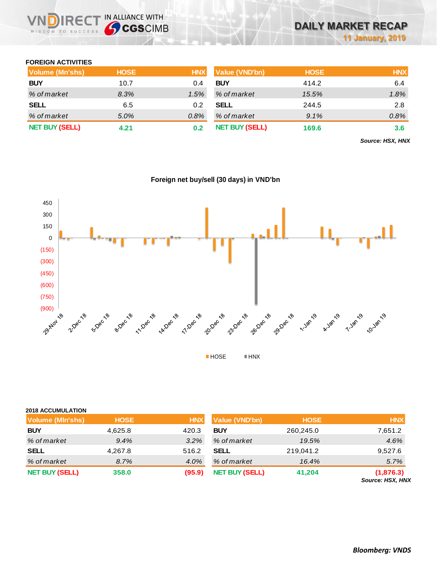### **FOREIGN ACTIVITIES**

WISDOM TO SUCCESS

| Volume (Mn'shs)       | <b>HOSE</b> | <b>HNX</b> | <b>Value (VND'bn)</b> | <b>HOSE</b> | <b>HNX</b> |
|-----------------------|-------------|------------|-----------------------|-------------|------------|
| <b>BUY</b>            | 10.7        | 0.4        | <b>BUY</b>            | 414.2       | 6.4        |
| % of market           | 8.3%        | 1.5%       | % of market           | 15.5%       | 1.8%       |
| <b>SELL</b>           | 6.5         | 0.2        | <b>SELL</b>           | 244.5       | 2.8        |
| % of market           | 5.0%        | 0.8%       | % of market           | 9.1%        | 0.8%       |
| <b>NET BUY (SELL)</b> | 4.21        | 0.2        | <b>NET BUY (SELL)</b> | 169.6       | 3.6        |

*Source: HSX, HNX*



## **Foreign net buy/sell (30 days) in VND'bn**

### **2018 ACCUMULATION**

| <b>Volume (MIn'shs)</b> | <b>HOSE</b> | <b>HNX</b> | <b>Value (VND'bn)</b> | <b>HOSE</b> | <b>HNX</b>                    |
|-------------------------|-------------|------------|-----------------------|-------------|-------------------------------|
| <b>BUY</b>              | 4,625.8     | 420.3      | <b>BUY</b>            | 260,245.0   | 7,651.2                       |
| % of market             | 9.4%        | 3.2%       | % of market           | 19.5%       | 4.6%                          |
| <b>SELL</b>             | 4,267.8     | 516.2      | <b>SELL</b>           | 219,041.2   | 9,527.6                       |
| % of market             | 8.7%        | 4.0%       | % of market           | 16.4%       | 5.7%                          |
| <b>NET BUY (SELL)</b>   | 358.0       | (95.9)     | <b>NET BUY (SELL)</b> | 41,204      | (1,876.3)<br>Source: HSX, HNX |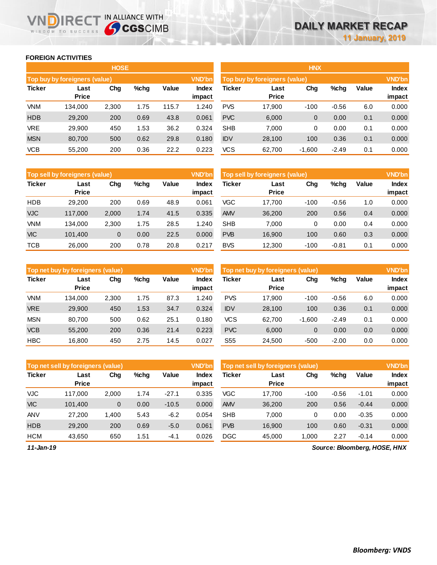### **FOREIGN ACTIVITIES**

WISDOM TO SUCCESS

JD)

IRECT IN ALLIANCE WITH

|               |                                      | <b>HOSE</b> |         |       |                 | <b>HNX</b> |                               |             |         |       |                        |  |
|---------------|--------------------------------------|-------------|---------|-------|-----------------|------------|-------------------------------|-------------|---------|-------|------------------------|--|
|               | <b>Top buy by foreigners (value)</b> |             |         |       | <b>VND'bn</b>   |            | Top buy by foreigners (value) |             |         |       | <b>VND'bn</b>          |  |
| <b>Ticker</b> | Last<br>Price                        | Chg         | $%$ chg | Value | Index<br>impact | Ticker     | Last<br>Price                 | Chg         | %chg    | Value | <b>Index</b><br>impact |  |
| <b>VNM</b>    | 134.000                              | 2,300       | 1.75    | 115.7 | 1.240           | <b>PVS</b> | 17,900                        | $-100$      | $-0.56$ | 6.0   | 0.000                  |  |
| <b>HDB</b>    | 29,200                               | 200         | 0.69    | 43.8  | 0.061           | <b>PVC</b> | 6,000                         | $\mathbf 0$ | 0.00    | 0.1   | 0.000                  |  |
| <b>VRE</b>    | 29,900                               | 450         | 1.53    | 36.2  | 0.324           | <b>SHB</b> | 7.000                         | 0           | 0.00    | 0.1   | 0.000                  |  |
| <b>MSN</b>    | 80,700                               | 500         | 0.62    | 29.8  | 0.180           | <b>IDV</b> | 28,100                        | 100         | 0.36    | 0.1   | 0.000                  |  |
| <b>VCB</b>    | 55,200                               | 200         | 0.36    | 22.2  | 0.223           | <b>VCS</b> | 62,700                        | $-1,600$    | $-2.49$ | 0.1   | 0.000                  |  |

|               | Top sell by foreigners (value) |       |      |       |                 | Top sell by foreigners (value) |                      |        |         |       | <b>VND'bn</b>   |  |  |
|---------------|--------------------------------|-------|------|-------|-----------------|--------------------------------|----------------------|--------|---------|-------|-----------------|--|--|
| <b>Ticker</b> | Last<br><b>Price</b>           | Chg   | %chg | Value | Index<br>impact | <b>Ticker</b>                  | Last<br><b>Price</b> | Chg    | %chg    | Value | Index<br>impact |  |  |
| <b>HDB</b>    | 29,200                         | 200   | 0.69 | 48.9  | 0.061           | <b>VGC</b>                     | 17.700               | $-100$ | $-0.56$ | 1.0   | 0.000           |  |  |
| <b>VJC</b>    | 117,000                        | 2,000 | 1.74 | 41.5  | 0.335           | <b>AMV</b>                     | 36,200               | 200    | 0.56    | 0.4   | 0.000           |  |  |
| VNM           | 134.000                        | 2,300 | 1.75 | 28.5  | 1.240           | <b>SHB</b>                     | 7.000                | 0      | 0.00    | 0.4   | 0.000           |  |  |
| <b>VIC</b>    | 101,400                        | 0     | 0.00 | 22.5  | 0.000           | <b>PVB</b>                     | 16,900               | 100    | 0.60    | 0.3   | 0.000           |  |  |
| <b>TCB</b>    | 26,000                         | 200   | 0.78 | 20.8  | 0.217           | <b>BVS</b>                     | 12,300               | $-100$ | $-0.81$ | 0.1   | 0.000           |  |  |

|               | Top net buy by foreigners (value) |       |         |       | <b>VND'bn</b> |                 | Top net buy by foreigners (value) |          |         |              | <b>VND'bn</b> |
|---------------|-----------------------------------|-------|---------|-------|---------------|-----------------|-----------------------------------|----------|---------|--------------|---------------|
| <b>Ticker</b> | Last                              | Chg   | $%$ chq | Value | Index         | <b>Ticker</b>   | Last                              | Chg      | %chg    | <b>Value</b> | <b>Index</b>  |
|               | <b>Price</b>                      |       |         |       | impact        |                 | <b>Price</b>                      |          |         |              | impact        |
| <b>VNM</b>    | 134.000                           | 2,300 | 1.75    | 87.3  | 1.240         | <b>PVS</b>      | 17.900                            | $-100$   | $-0.56$ | 6.0          | 0.000         |
| <b>VRE</b>    | 29,900                            | 450   | 1.53    | 34.7  | 0.324         | <b>IDV</b>      | 28,100                            | 100      | 0.36    | 0.1          | 0.000         |
| <b>MSN</b>    | 80.700                            | 500   | 0.62    | 25.1  | 0.180         | vcs             | 62.700                            | $-1.600$ | $-2.49$ | 0.1          | 0.000         |
| <b>VCB</b>    | 55,200                            | 200   | 0.36    | 21.4  | 0.223         | <b>PVC</b>      | 6,000                             | 0        | 0.00    | 0.0          | 0.000         |
| <b>HBC</b>    | 16.800                            | 450   | 2.75    | 14.5  | 0.027         | S <sub>55</sub> | 24.500                            | $-500$   | $-2.00$ | 0.0          | 0.000         |

|               | Top net sell by foreigners (value) |       |         |         | <b>VND'bn</b><br>Top net sell by foreigners (value) |               |                      |        |         |              | <b>VND'bn</b>   |  |  |
|---------------|------------------------------------|-------|---------|---------|-----------------------------------------------------|---------------|----------------------|--------|---------|--------------|-----------------|--|--|
| <b>Ticker</b> | Last<br><b>Price</b>               | Chg   | $%$ chq | Value   | Index<br>impact                                     | <b>Ticker</b> | Last<br><b>Price</b> | Chg    | %chg    | <b>Value</b> | Index<br>impact |  |  |
| <b>VJC</b>    | 117.000                            | 2,000 | 1.74    | $-27.1$ | 0.335                                               | VGC           | 17.700               | $-100$ | $-0.56$ | $-1.01$      | 0.000           |  |  |
| <b>VIC</b>    | 101,400                            | 0     | 0.00    | $-10.5$ | 0.000                                               | <b>AMV</b>    | 36,200               | 200    | 0.56    | $-0.44$      | 0.000           |  |  |
| <b>ANV</b>    | 27,200                             | 1,400 | 5.43    | $-6.2$  | 0.054                                               | <b>SHB</b>    | 7,000                | 0      | 0.00    | $-0.35$      | 0.000           |  |  |
| <b>HDB</b>    | 29,200                             | 200   | 0.69    | $-5.0$  | 0.061                                               | <b>PVB</b>    | 16.900               | 100    | 0.60    | $-0.31$      | 0.000           |  |  |
| <b>HCM</b>    | 43,650                             | 650   | 1.51    | $-4.1$  | 0.026                                               | <b>DGC</b>    | 45.000               | 1.000  | 2.27    | $-0.14$      | 0.000           |  |  |

*Source: Bloomberg, HOSE, HNX*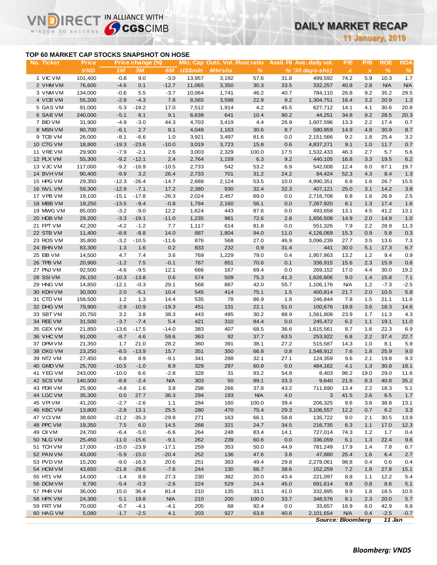# **DAILY MARKET RECAP**

**11 January, 2019**

### **TOP 60 MARKET CAP STOCKS SNAPSHOT ON HOSE**

**IREC** 

VI

IN ALLIANCE WITH

|                                           |                            |                  |                        |                      |                |                                                   |               |             |                                                           |                                  | <b>11 January, 2019</b> |                    |                    |
|-------------------------------------------|----------------------------|------------------|------------------------|----------------------|----------------|---------------------------------------------------|---------------|-------------|-----------------------------------------------------------|----------------------------------|-------------------------|--------------------|--------------------|
| TOP 60 MARKET CAP STOCKS SNAPSHOT ON HOSE |                            |                  |                        |                      |                |                                                   |               |             |                                                           |                                  |                         |                    |                    |
| No. Ticker                                | <b>Price</b><br><b>VND</b> | 1M               | Price change (%)<br>3M | 6M                   | <b>US\$mln</b> | Mkt. Cap Outs. Vol. Float ratio<br><b>MIn'shs</b> | $\frac{9}{6}$ |             | Avail. Fil Ave. daily vol.<br>$% (30 \, \text{days-shs})$ | P/E<br>$\boldsymbol{\mathsf{x}}$ | P/B<br>$\pmb{\chi}$     | <b>ROE</b><br>$\%$ | <b>ROA</b><br>$\%$ |
| 1 VIC VM                                  | 101,400                    | $-0.8$           | 9.0                    | $-3.0$               | 13,957         | 3,192                                             | 57.6          | 31.8        | 499,592                                                   | 74.2                             | 5.9                     | 10.3               | 1.7                |
| 2 VHM VM                                  | 76,600                     | $-4.6$           | 0.1                    | $-12.7$              | 11,065         | 3,350                                             | 30.3          | 33.5        | 332,257                                                   | 40.8                             | 2.8                     | <b>N/A</b>         | <b>N/A</b>         |
| 3 VNM VM                                  | 134,000                    | $-0.6$           | 5.5                    | $-3.7$               | 10,064         | 1,741                                             | 46.2          | 40.7        | 784,110                                                   | 26.8                             | 9.2                     | 35.2               | 29.5               |
| 4 VCB VM                                  | 55,200                     | $-2.8$           | $-4.3$                 | 7.8                  | 8,565          | 3,598                                             | 22.9          | 9.2         | 1,304,751                                                 | 16.4                             | 3.2                     | 20.9               | 1.3                |
| 5 GAS VM                                  | 91,000                     | $-5.3$           | $-19.2$                | 17.0                 | 7,512          | 1,914                                             | 4.2           | 45.5        | 627,712                                                   | 14.1                             | 4.1                     | 30.6               | 20.8               |
| 6 SAB VM                                  | 240,000                    | $-5.1$           | 8.1                    | 9.1                  | 6,638          | 641                                               | 10.4          | 90.2        | 44,251                                                    | 34.8                             | 9.2                     | 28.5               | 20.3               |
| 7 BID VM                                  | 31,900                     | $-4.9$           | $-3.0$                 | 44.3                 | 4,703          | 3,419                                             | 4.4           | 26.9        | 1,607,596                                                 | 13.3                             | 2.2                     | 17.4               | 0.7                |
| 8 MSN VM                                  | 80,700                     | $-6.1$           | 2.7                    | 9.1                  | 4,048          | 1,163                                             | 30.6          | 8.7         | 580,959                                                   | 14.9                             | 4.8                     | 30.9               | 8.7                |
| 9 TCB VM                                  | 26,000                     | $-8.1$           | $-6.6$                 | 1.0                  | 3,921          | 3,497                                             | 81.6          | 0.0         | 2,151,566                                                 | 9.2                              | 1.8                     | 25.4               | 3.2                |
| 10 CTG VM                                 | 18,800                     | $-19.3$          | $-23.6$                | $-10.0$              | 3,019          | 3,723                                             | 15.8          | 0.6         | 4,837,271                                                 | 9.1                              | 1.0                     | 11.7               | 0.7                |
| 11 VREVM                                  | 29,900                     | $-7.9$           | $-2.1$                 | 2.6                  | 3,003          | 2,329                                             | 100.0         | 17.5        | 1,532,433                                                 | 46.3                             | 2.7                     | 5.7                | 5.6                |
| 12 PLX VM                                 | 55,300                     | $-9.2$           | $-12.1$                | 2.4                  | 2,764          | 1,159                                             | 6.3           | 9.2         | 440,105                                                   | 16.8                             | 3.3                     | 19.5               | 6.2                |
| 13 VJC VM                                 | 117,000                    | $-9.2$           | $-16.9$                | $-10.5$              | 2,733          | 542                                               | 53.2          | 6.9         | 542,008                                                   | 12.4                             | 6.0                     | 67.1               | 19.7               |
| 14 BVHVM                                  | 90,400                     | $-9.9$           | 3.2                    | 26.4                 | 2,733          | 701                                               | 31.2          | 24.2        | 84,424                                                    | 52.3                             | 4.3                     | 8.4                | 1.3                |
| 15 HPG VM                                 | 29,350                     | $-12.3$          | $-26.4$                | $-14.7$              | 2,688          | 2,124                                             | 53.5          | 10.0        | 4,990,351                                                 | 6.8                              | 1.6                     | 26.7               | 15.5               |
| <b>16 NVL VM</b>                          | 59,300                     | $-12.9$          | $-7.1$                 | 17.2                 | 2,380          | 930                                               | 32.4          | 32.3        | 407,121                                                   | 25.0                             | 3.1                     | 14.2               | 3.8                |
| 17 VPB VM                                 | 19,100                     | $-15.1$          | $-17.8$                | $-26.3$              | 2,024          | 2,457                                             | 69.0          | 0.0         | 2,716,708                                                 | 6.8                              | 1.6                     | 26.9               | 2.5                |
| 18 MBB VM                                 | 19,250                     | $-13.5$          | $-9.4$                 | $-0.8$               | 1,794          | 2,160                                             | 56.1          | 0.0         | 7,267,920                                                 | 8.1                              | 1.3                     | 17.4               | 1.6                |
| 19 MWG VM<br>20 HDB VM                    | 85,000                     | $-3.2$           | $-9.0$                 | 12.2                 | 1,624          | 443<br>981                                        | 87.6          | 0.0         | 493,658                                                   | 13.1                             | 4.5                     | 41.2               | 13.1               |
| 21 FPT VM                                 | 29,200                     | $-3.3$           | $-19.1$                | $-11.0$<br>7.7       | 1,235          | 614                                               | 72.6          | 2.8         | 1,656,508                                                 | 14.9                             | 2.0                     | 14.9               | 1.0                |
| 22 STB VM                                 | 42,200<br>11,400           | $-4.2$<br>$-8.8$ | $-1.2$<br>$-8.8$       | 14.0                 | 1,117<br>887   | 1,804                                             | 81.8<br>94.0  | 0.0<br>11.0 | 551,326<br>4,126,069                                      | 7.9<br>15.3                      | 2.2<br>0.9              | 28.9<br>5.8        | 11.3<br>0.3        |
| 23 ROS VM                                 | 35,800                     | $-3.2$           | $-10.5$                | $-11.6$              | 876            | 568                                               | 27.0          | 46.9        | 3,096,239                                                 | 27.7                             | 3.5                     | 13.6               | 7.3                |
| 24 BHN VM                                 | 83,300                     | 1.3              | 1.6                    | 0.2                  | 833            | 232                                               | 0.9           | 31.4        | 441                                                       | 30.0                             | 5.1                     | 17.3               | 6.7                |
| 25 EIB VM                                 | 14,500                     | 4.7              | 7.4                    | 3.6                  | 769            | 1,229                                             | 79.0          | 0.4         | 1,957,863                                                 | 13.2                             | 1.2                     | 9.4                | 0.9                |
| 26 TPB VM                                 | 20,900                     | $-1.2$           | 7.5                    | $-0.1$               | 767            | 851                                               | 70.6          | 0.1         | 336,915                                                   | 15.6                             | 2.3                     | 15.9               | 0.8                |
| 27 PNJ VM                                 | 92,500                     | $-4.6$           | $-9.5$                 | 12.1                 | 666            | 167                                               | 69.4          | 0.0         | 269,152                                                   | 17.0                             | 4.4                     | 30.0               | 19.2               |
| 28 SSIVM                                  | 26,150                     | $-10.3$          | $-13.8$                | 0.6                  | 574            | 509                                               | 75.3          | 41.3        | 1,626,606                                                 | 9.0                              | 1.4                     | 15.8               | 7.1                |
| 29 HNG VM                                 | 14,850                     | $-12.1$          | $-0.3$                 | 29.1                 | 568            | 887                                               | 42.0          | 55.7        | 1,106,176                                                 | <b>N/A</b>                       | $1.2$                   | $-7.3$             | $-2.5$             |
| 30 KDH VM                                 | 30,500                     | 2.0              | $-5.1$                 | 10.4                 | 545            | 414                                               | 75.1          | 1.5         | 400,814                                                   | 21.7                             | 2.0                     | 10.5               | 5.8                |
| 31 CTD VM                                 | 158,500                    | 1.2              | 1.3                    | 14.4                 | 535            | 78                                                | 86.9          | 1.8         | 246,844                                                   | 7.8                              | 1.5                     | 21.1               | 11.6               |
| 32 DHG VM                                 | 79,900                     | $-2.9$           | $-10.9$                | $-19.3$              | 451            | 131                                               | 22.1          | 51.0        | 100,676                                                   | 19.8                             | 3.6                     | 18.3               | 14.6               |
| 33 SBT VM                                 | 20,750                     | 3.2              | 3.8                    | 38.3                 | 443            | 495                                               | 30.2          | 88.9        | 1,561,808                                                 | 23.9                             | 1.7                     | 11.3               | 4.3                |
| 34 REE VM                                 | 31,500                     | $-3.7$           | $-7.4$                 | 5.4                  | 421            | 310                                               | 84.4          | 0.0         | 245,472                                                   | 6.2                              | 1.1                     | 19.1               | 11.0               |
| 35 GEX VM                                 | 21,850                     | $-13.6$          | $-17.5$                | $-14.0$              | 383            | 407                                               | 68.5          | 36.6        | 1,615,561                                                 | 8.7                              | 1.6                     | 22.3               | 6.9                |
| 36 VHC VM                                 | 91,000                     | $-8.7$           | 4.6                    | 59.6                 | 363            | 92                                                | 37.7          | 63.5        | 253,922                                                   | 6.8                              | 2.2                     | 37.4               | 22.7               |
| 37 DPM VM                                 | 21,350                     | 1.7              | 21.0                   | 28.2                 | 360            | 391                                               | 38.1          | 27.2        | 515,587                                                   | 14.3                             | 1.0                     | 8.1                | 5.9                |
| 38 DXG VM                                 | 23,250                     | $-8.5$           | $-13.9$                | 15.7                 | 351            | 350                                               | 66.8          | 0.8         | 1,548,912                                                 | 7.6                              | 1.8                     | 25.9               | 9.0                |
| 39 NT2 VM                                 | 27,450                     | 6.8              | 8.9                    | $-9.1$               | 341            | 288                                               | 32.1          | 27.1        | 124,359                                                   | 9.6                              | 2.1                     | 19.8               | 9.3                |
| 40 GMD VM                                 | 25,700                     | $-10.5$          | $-1.0$                 | 8.9                  | 329            | 297                                               | 60.8          | 0.0         | 484,162                                                   | 4.1                              | 1.3                     | 30.8               | 18.1               |
| 41 YEG VM                                 | 243,000                    | $-10.0$          | 6.6                    | $-2.8$               | 328            | 31                                                | 93.2          | 54.8        | 8,403                                                     | 98.2                             | 19.0                    | 29.0               | 11.6               |
| 42 SCS VM                                 | 140,500                    | $-8.8$           | $-2.4$                 | <b>N/A</b>           | 303            | 50                                                | 99.1          | 33.3        | 9,640                                                     | 21.6                             | 8.3                     | 40.8               | 35.2               |
| 43 PDR VM                                 | 25,900                     | $-4.8$           | 1.6                    | 3.8                  | 298            | 266                                               | 37.8          | 43.2        | 711,690                                                   | 13.4                             | 2.2                     | 18.3               | 5.1                |
| 44 LGC VM                                 | 35,300                     | 0.0              | 27.7                   | 36.3                 | 294            | 193                                               | <b>N/A</b>    | 4.0         | 3                                                         | 41.5                             | 2.6                     | 6.5                | 1.7                |
| 45 VPIVM                                  | 41,200                     | $-2.7$           | $-2.6$                 | 1.1                  | 284            | 160                                               | 100.0         | 39.4        | 206,325                                                   | 9.6                              | 3.6                     | 38.8               | 13.1               |
| 46 KBC VM                                 | 13,800                     | $-2.8$           | 13.1                   | 25.5                 | 280            | 470                                               | 75.4          | 29.3        | 3,106,557                                                 | 12.2                             | 0.7                     | 6.2                | 3.3                |
| 47 VCIVM                                  | 38,600                     | $-21.2$          | $-35.3$                | $-29.8$              | 271            | 163                                               | 66.1          | 58.8        | 135,722                                                   | 9.0                              | 2.1                     | 30.5               | 13.9               |
| 48 PPC VM                                 | 19,350                     | $7.5\,$          | 6.0                    | 14.5                 | 268            | 321                                               | 24.7          | 34.5        | 216,735                                                   | 6.3                              | 1.1                     | 17.0               | 12.3               |
| 49 CII VM                                 | 24,700                     | $-6.4$           | $-5.0$                 | $-6.6$               | 264            | 248                                               | 83.4          | 14.1        | 727,014                                                   | 74.3                             | $1.2$                   | 1.7                | 0.4                |
| 50 NLG VM                                 | 25,450                     | $-11.0$          | $-15.6$                | $-9.1$               | 262            | 239                                               | 60.6          | 0.0         | 336,059                                                   | 6.1                              | 1.3                     | 22.4               | 9.6                |
| 51 TCH VM                                 | 17,000                     | $-15.0$          | $-23.9$                | $-17.1$              | 259            | 353                                               | 50.0          | 44.9        | 781,249                                                   | 17.9                             | 1.4                     | 7.8                | 6.7                |
| 52 PAN VM                                 | 43,000                     | $-5.9$           | $-15.0$                | $-20.4$              | 252            | 136                                               | 47.6          | 3.8         | 47,880                                                    | 25.4                             | 1.6                     | 6.4                | 2.7                |
| 53 PVD VM                                 | 15,200                     | $-9.0$           | $-16.3$                | 20.6                 | 251            | 383                                               | 49.4          | 29.8        | 2,278,061                                                 | 98.8                             | 0.4                     | 0.6                | 0.4                |
| 54 HCM VM                                 | 43,650                     | $-21.8$          | $-29.6$                | $-7.6$               | 244            | 130                                               | 66.7          | 38.6        | 152,259                                                   | 7.2                              | 1.8                     | 27.8               | 15.1               |
| 55 HT1 VM                                 | 14,000                     | $-1.4$           | 8.9                    | 27.3                 | 230            | 382                                               | 20.0          | 43.4        | 221,097                                                   | 8.8                              | 1.1                     | 12.2               | 5.4                |
| 56 DCM VM                                 | 9,790                      | $-5.4$           | $-0.3$                 | $-2.6$               | 224            | 529                                               | 24.4          | 45.0        | 691,614                                                   | 9.8                              | 0.8                     | 8.6                | 5.1                |
| 57 PHR VM                                 | 36,000                     | 15.0             | 36.4                   | 81.4                 | 210            | 135                                               | 33.1          | 41.0        | 332,895                                                   | 9.9                              | 1.8                     | 18.5               | 10.5               |
| 58 HPX VM<br>59 FRT VM                    | 24,300<br>70,000           | 5.1              | 19.8<br>$-4.1$         | <b>N/A</b><br>$-4.1$ | 210<br>205     | 200<br>68                                         | 100.0<br>92.4 | 33.7<br>0.0 | 348,576<br>33,657                                         | 8.1                              | 2.3                     | 20.0<br>42.9       | 5.7                |
| 60 HAG VM                                 | 5,080                      | $-6.7$<br>$-1.7$ | $-2.5$                 | 4.1                  | 203            | 927                                               | 63.8          | 40.6        | 2,101,654                                                 | 16.9<br><b>N/A</b>               | 6.0<br>0.4              | $-2.5$             | 6.8<br>$-0.7$      |
|                                           |                            |                  |                        |                      |                |                                                   |               |             |                                                           |                                  |                         |                    |                    |